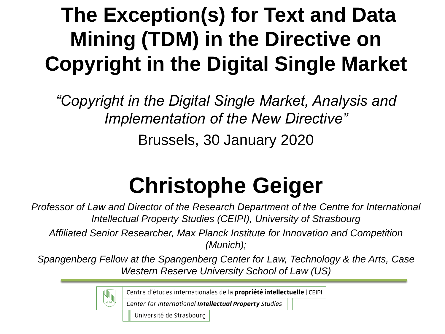# **The Exception(s) for Text and Data Mining (TDM) in the Directive on Copyright in the Digital Single Market**

*"Copyright in the Digital Single Market, Analysis and Implementation of the New Directive"*

Brussels, 30 January 2020

# **Christophe Geiger**

*Professor of Law and Director of the Research Department of the Centre for International Intellectual Property Studies (CEIPI), University of Strasbourg*

*Affiliated Senior Researcher, Max Planck Institute for Innovation and Competition (Munich);* 

*Spangenberg Fellow at the Spangenberg Center for Law, Technology & the Arts, Case Western Reserve University School of Law (US)*

Centre d'études internationales de la propriété intellectuelle | CEIPI

Center for International Intellectual Property Studies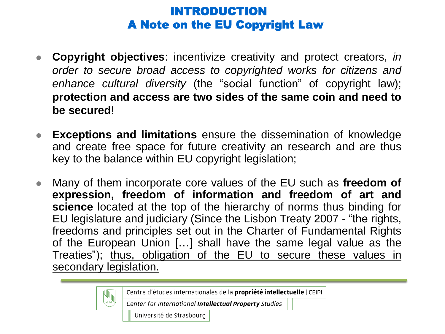#### INTRODUCTION A Note on the EU Copyright Law

- **Copyright objectives**: incentivize creativity and protect creators, *in order to secure broad access to copyrighted works for citizens and enhance cultural diversity* (the "social function" of copyright law); **protection and access are two sides of the same coin and need to be secured**!
- **Exceptions and limitations** ensure the dissemination of knowledge and create free space for future creativity an research and are thus key to the balance within EU copyright legislation;
- Many of them incorporate core values of the EU such as **freedom of expression, freedom of information and freedom of art and science** located at the top of the hierarchy of norms thus binding for EU legislature and judiciary (Since the Lisbon Treaty 2007 - "the rights, freedoms and principles set out in the Charter of Fundamental Rights of the European Union […] shall have the same legal value as the Treaties"); thus, obligation of the EU to secure these values in secondary legislation.

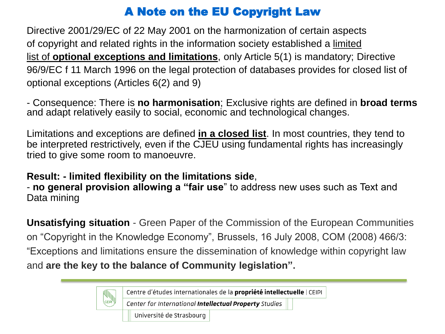# A Note on the EU Copyright Law

Directive 2001/29/EC of 22 May 2001 on the harmonization of certain aspects of copyright and related rights in the information society established a limited list of **optional exceptions and limitations**, only Article 5(1) is mandatory; Directive 96/9/EC f 11 March 1996 on the legal protection of databases provides for closed list of optional exceptions (Articles 6(2) and 9)

- Consequence: There is **no harmonisation**; Exclusive rights are defined in **broad terms**  and adapt relatively easily to social, economic and technological changes.

Limitations and exceptions are defined **in a closed list**. In most countries, they tend to be interpreted restrictively, even if the CJEU using fundamental rights has increasingly tried to give some room to manoeuvre.

#### **Result: - limited flexibility on the limitations side**,

**CEIPI** 

- **no general provision allowing a "fair use**" to address new uses such as Text and Data mining

**Unsatisfying situation** - Green Paper of the Commission of the European Communities on "Copyright in the Knowledge Economy", Brussels, 16 July 2008, COM (2008) 466/3: "Exceptions and limitations ensure the dissemination of knowledge within copyright law and **are the key to the balance of Community legislation".** 

Centre d'études internationales de la propriété intellectuelle | CEIPI

Center for International Intellectual Property Studies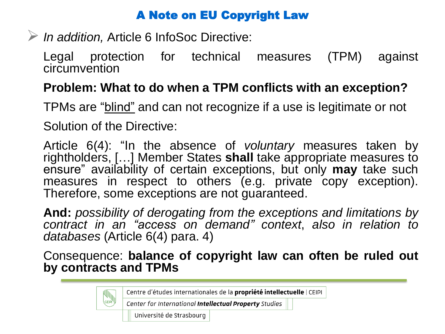## A Note on EU Copyright Law

*In addition,* Article 6 InfoSoc Directive:

Legal protection for technical measures (TPM) against circumvention

# **Problem: What to do when a TPM conflicts with an exception?**

TPMs are "blind" and can not recognize if a use is legitimate or not

Solution of the Directive:

Article 6(4): "In the absence of *voluntary* measures taken by rightholders, […] Member States **shall** take appropriate measures to ensure" availability of certain exceptions, but only **may** take such measures in respect to others (e.g. private copy exception). Therefore, some exceptions are not guaranteed.

**And:** *possibility of derogating from the exceptions and limitations by contract in an "access on demand" context*, *also in relation to databases* (Article 6(4) para. 4)

Consequence: **balance of copyright law can often be ruled out by contracts and TPMs**

Centre d'études internationales de la propriété intellectuelle | CEIPI

Center for International Intellectual Property Studies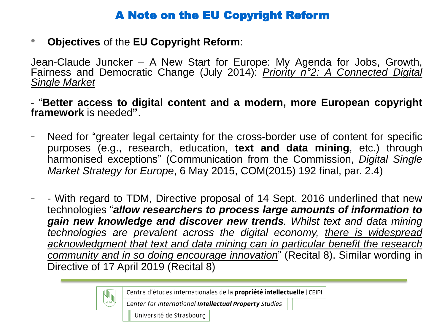### A Note on the EU Copyright Reform

• **Objectives** of the **EU Copyright Reform**:

Jean-Claude Juncker – A New Start for Europe: My Agenda for Jobs, Growth, Fairness and Democratic Change (July 2014): *Priority n°2: A Connected Digital Single Market*

- "**Better access to digital content and a modern, more European copyright framework** is needed**"**.

- Need for "greater legal certainty for the cross-border use of content for specific purposes (e.g., research, education, **text and data mining**, etc.) through harmonised exceptions" (Communication from the Commission, *Digital Single Market Strategy for Europe*, 6 May 2015, COM(2015) 192 final, par. 2.4)
- - With regard to TDM, Directive proposal of 14 Sept. 2016 underlined that new technologies "*allow researchers to process large amounts of information to gain new knowledge and discover new trends. Whilst text and data mining technologies are prevalent across the digital economy, there is widespread acknowledgment that text and data mining can in particular benefit the research community and in so doing encourage innovation*" (Recital 8). Similar wording in Directive of 17 April 2019 (Recital 8)

Centre d'études internationales de la propriété intellectuelle | CEIPI

Center for International Intellectual Property Studies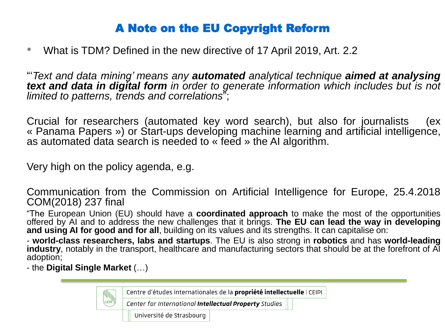### A Note on the EU Copyright Reform

• What is TDM? Defined in the new directive of 17 April 2019, Art. 2.2

"'*Text and data mining' means any automated analytical technique aimed at analysing text and data in digital form in order to generate information which includes but is not limited to patterns, trends and correlations*";

Crucial for researchers (automated key word search), but also for journalists (ex « Panama Papers ») or Start-ups developing machine learning and artificial intelligence, as automated data search is needed to « feed » the AI algorithm.

Very high on the policy agenda, e.g.

Communication from the Commission on Artificial Intelligence for Europe, 25.4.2018 COM(2018) 237 final

"The European Union (EU) should have a **coordinated approach** to make the most of the opportunities offered by AI and to address the new challenges that it brings. **The EU can lead the way in developing and using AI for good and for all**, building on its values and its strengths. It can capitalise on:

- **world-class researchers, labs and startups**. The EU is also strong in **robotics** and has **world-leading industry**, notably in the transport, healthcare and manufacturing sectors that should be at the forefront of AI adoption;

- the **Digital Single Market** (…)

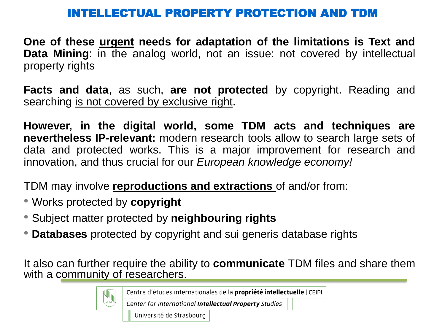#### INTELLECTUAL PROPERTY PROTECTION AND T

**One of these urgent needs for adaptation of the limitations is Text and Data Mining**: in the analog world, not an issue: not covered by intellectual property rights

**Facts and data**, as such, **are not protected** by copyright. Reading and searching is not covered by exclusive right.

**However, in the digital world, some TDM acts and techniques are nevertheless IP-relevant:** modern research tools allow to search large sets of data and protected works. This is a major improvement for research and innovation, and thus crucial for our *European knowledge economy!*

TDM may involve **reproductions and extractions** of and/or from:

- Works protected by **copyright**
- Subject matter protected by **neighbouring rights**
- **Databases** protected by copyright and sui generis database rights

It also can further require the ability to **communicate** TDM files and share them with a community of researchers.

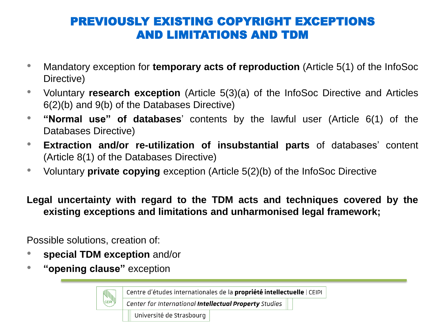## PREVIOUSLY EXISTING COPYRIGHT EXCEPTIONS AND LIMITATIONS AND TDM

- Mandatory exception for **temporary acts of reproduction** (Article 5(1) of the InfoSoc Directive)
- Voluntary **research exception** (Article 5(3)(a) of the InfoSoc Directive and Articles 6(2)(b) and 9(b) of the Databases Directive)
- **"Normal use" of databases**' contents by the lawful user (Article 6(1) of the Databases Directive)
- **Extraction and/or re-utilization of insubstantial parts** of databases' content (Article 8(1) of the Databases Directive)
- Voluntary **private copying** exception (Article 5(2)(b) of the InfoSoc Directive

**Legal uncertainty with regard to the TDM acts and techniques covered by the existing exceptions and limitations and unharmonised legal framework;**

Possible solutions, creation of:

• **special TDM exception** and/or

CEIPI<sup>1</sup>

• **"opening clause"** exception

Centre d'études internationales de la propriété intellectuelle | CEIPI

Center for International Intellectual Property Studies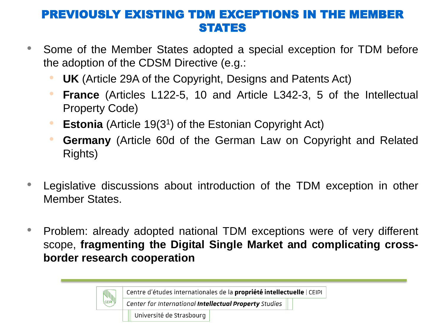#### PREVIOUSLY EXISTING TDM EXCEPTIONS IN THE M STATES

- Some of the Member States adopted a special exception for TDM before the adoption of the CDSM Directive (e.g.:
	- **UK** (Article 29A of the Copyright, Designs and Patents Act)
	- **France** (Articles L122-5, 10 and Article L342-3, 5 of the Intellectual Property Code)
	- **Estonia** (Article 19(3<sup>1</sup>) of the Estonian Copyright Act)
	- **Germany** (Article 60d of the German Law on Copyright and Related Rights)
- Legislative discussions about introduction of the TDM exception in other Member States.
- Problem: already adopted national TDM exceptions were of very different scope, **fragmenting the Digital Single Market and complicating crossborder research cooperation**

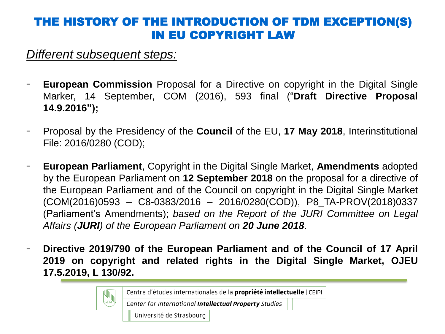#### THE HISTORY OF THE INTRODUCTION OF TDM EXCEPTION(S) IN EU COPYRIGHT LAW

*Different subsequent steps:*

- **European Commission** Proposal for a Directive on copyright in the Digital Single Marker, 14 September, COM (2016), 593 final ("**Draft Directive Proposal 14.9.2016");**
- Proposal by the Presidency of the **Council** of the EU, **17 May 2018**, Interinstitutional File: 2016/0280 (COD);
- **European Parliament**, Copyright in the Digital Single Market, **Amendments** adopted by the European Parliament on **12 September 2018** on the proposal for a directive of the European Parliament and of the Council on copyright in the Digital Single Market (COM(2016)0593 – C8-0383/2016 – 2016/0280(COD)), P8\_TA-PROV(2018)0337 (Parliament's Amendments); *based on the Report of the JURI Committee on Legal Affairs (JURI) of the European Parliament on 20 June 2018*.
- **Directive 2019/790 of the European Parliament and of the Council of 17 April 2019 on copyright and related rights in the Digital Single Market, OJEU 17.5.2019, L 130/92.**

Centre d'études internationales de la propriété intellectuelle | CEIPI Center for International Intellectual Property Studies Université de Strasbourg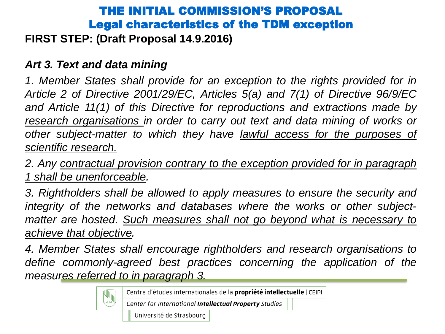# THE INITIAL COMMISSION'S PROPOSAL Legal characteristics of the TDM exception

#### **FIRST STEP: (Draft Proposal 14.9.2016)**

#### *Art 3. Text and data mining*

*1. Member States shall provide for an exception to the rights provided for in Article 2 of Directive 2001/29/EC, Articles 5(a) and 7(1) of Directive 96/9/EC and Article 11(1) of this Directive for reproductions and extractions made by research organisations in order to carry out text and data mining of works or other subject-matter to which they have lawful access for the purposes of scientific research.*

*2. Any contractual provision contrary to the exception provided for in paragraph 1 shall be unenforceable.*

*3. Rightholders shall be allowed to apply measures to ensure the security and integrity of the networks and databases where the works or other subjectmatter are hosted. Such measures shall not go beyond what is necessary to achieve that objective.*

*4. Member States shall encourage rightholders and research organisations to define commonly-agreed best practices concerning the application of the measures referred to in paragraph 3.*

Centre d'études internationales de la propriété intellectuelle | CEIPI

Center for International Intellectual Property Studies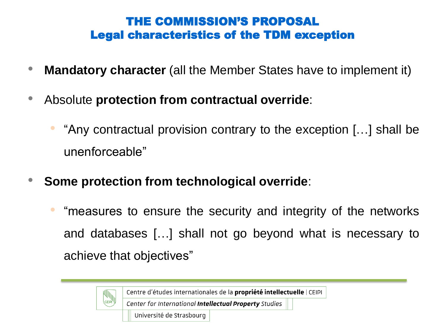## THE COMMISSION'S PROPOSAL Legal characteristics of the TDM exception

- **Mandatory character** (all the Member States have to implement it)
- Absolute **protection from contractual override**:
	- "Any contractual provision contrary to the exception […] shall be unenforceable"
- **Some protection from technological override**:
	- "measures to ensure the security and integrity of the networks and databases […] shall not go beyond what is necessary to achieve that objectives"

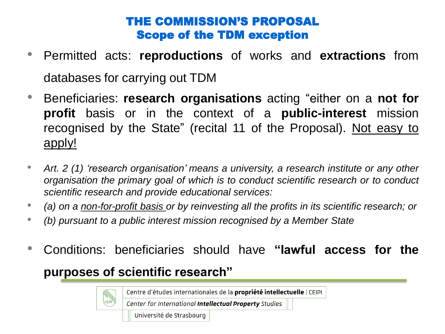### THE COMMISSION'S PROPOSAL Scope of the TDM exception

- Permitted acts: **reproductions** of works and **extractions** from databases for carrying out TDM
- Beneficiaries: **research organisations** acting "either on a **not for profit** basis or in the context of a **public-interest** mission recognised by the State" (recital 11 of the Proposal). Not easy to apply!
- *Art. 2 (1) 'research organisation' means a university, a research institute or any other organisation the primary goal of which is to conduct scientific research or to conduct scientific research and provide educational services:*
- *(a) on a non-for-profit basis or by reinvesting all the profits in its scientific research; or*
- *(b) pursuant to a public interest mission recognised by a Member State*
- Conditions: beneficiaries should have **"lawful access for the purposes of scientific research"**

Centre d'études internationales de la propriété intellectuelle | CEIPI

Center for International Intellectual Property Studies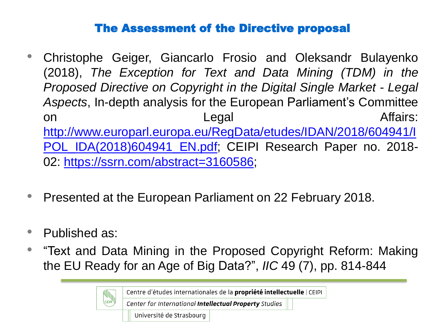#### The Assessment of the Directive proposal

- Christophe Geiger, Giancarlo Frosio and Oleksandr Bulayenko (2018), *The Exception for Text and Data Mining (TDM) in the Proposed Directive on Copyright in the Digital Single Market - Legal Aspects*, In-depth analysis for the European Parliament's Committee on Legal Affairs: [http://www.europarl.europa.eu/RegData/etudes/IDAN/2018/604941/I](http://www.europarl.europa.eu/RegData/etudes/IDAN/2018/604941/IPOL_IDA(2018)604941_EN.pdf) POL\_IDA(2018)604941\_EN.pdf; CEIPI Research Paper no. 2018-02: [https://ssrn.com/abstract=3160586;](https://ssrn.com/abstract=3160586)
- Presented at the European Parliament on 22 February 2018.
- Published as:
- "Text and Data Mining in the Proposed Copyright Reform: Making the EU Ready for an Age of Big Data?", *IIC* 49 (7), pp. 814-844

Centre d'études internationales de la propriété intellectuelle | CEIPI

Center for International Intellectual Property Studies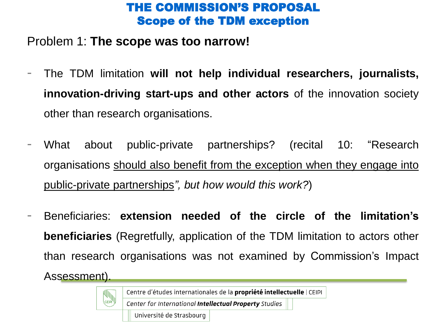#### THE COMMISSION'S PROPOSAL Scope of the TDM exception

#### Problem 1: **The scope was too narrow!**

- The TDM limitation **will not help individual researchers, journalists, innovation-driving start-ups and other actors** of the innovation society other than research organisations.
- What about public-private partnerships? (recital 10: "Research organisations should also benefit from the exception when they engage into public-private partnerships*", but how would this work?*)
- Beneficiaries: **extension needed of the circle of the limitation's beneficiaries** (Regretfully, application of the TDM limitation to actors other than research organisations was not examined by Commission's Impact Assessment).

Centre d'études internationales de la propriété intellectuelle | CEIPI

Center for International Intellectual Property Studies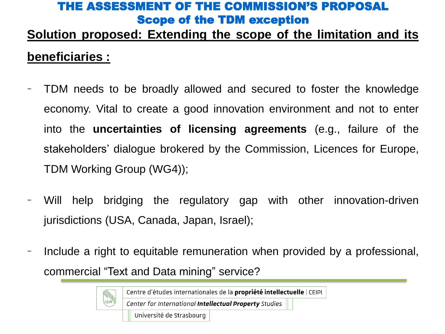#### THE ASSESSMENT OF THE COMMISSION'S PROPOSAL Scope of the TDM exception

# **Solution proposed: Extending the scope of the limitation and its beneficiaries :**

- TDM needs to be broadly allowed and secured to foster the knowledge economy. Vital to create a good innovation environment and not to enter into the **uncertainties of licensing agreements** (e.g., failure of the stakeholders' dialogue brokered by the Commission, Licences for Europe, TDM Working Group (WG4));
- Will help bridging the regulatory gap with other innovation-driven jurisdictions (USA, Canada, Japan, Israel);
- Include a right to equitable remuneration when provided by a professional, commercial "Text and Data mining" service?

Centre d'études internationales de la propriété intellectuelle | CEIPI

Center for International Intellectual Property Studies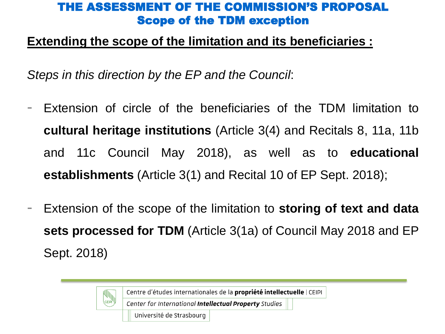#### THE ASSESSMENT OF THE COMMISSION'S PROPOSAL Scope of the TDM exception

#### **Extending the scope of the limitation and its beneficiaries :**

*Steps in this direction by the EP and the Council*:

- Extension of circle of the beneficiaries of the TDM limitation to **cultural heritage institutions** (Article 3(4) and Recitals 8, 11a, 11b and 11c Council May 2018), as well as to **educational establishments** (Article 3(1) and Recital 10 of EP Sept. 2018);
- Extension of the scope of the limitation to **storing of text and data sets processed for TDM** (Article 3(1a) of Council May 2018 and EP Sept. 2018)

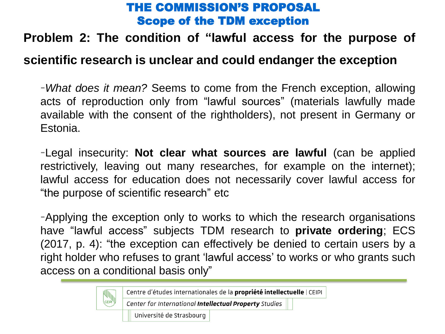#### THE COMMISSION'S PROPOSAL Scope of the TDM exception

#### **Problem 2: The condition of "lawful access for the purpose of**

#### **scientific research is unclear and could endanger the exception**

-*What does it mean?* Seems to come from the French exception, allowing acts of reproduction only from "lawful sources" (materials lawfully made available with the consent of the rightholders), not present in Germany or Estonia.

-Legal insecurity: **Not clear what sources are lawful** (can be applied restrictively, leaving out many researches, for example on the internet); lawful access for education does not necessarily cover lawful access for "the purpose of scientific research" etc

-Applying the exception only to works to which the research organisations have "lawful access" subjects TDM research to **private ordering**; ECS (2017, p. 4): "the exception can effectively be denied to certain users by a right holder who refuses to grant 'lawful access' to works or who grants such access on a conditional basis only"

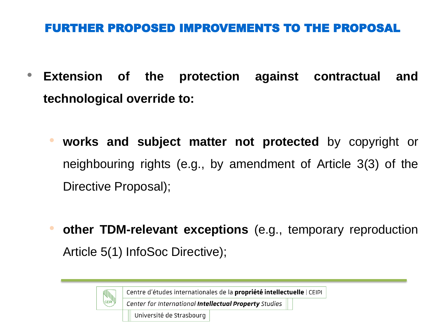### FURTHER PROPOSED IMPROVEMENTS TO THE PROPOSAL

- **Extension of the protection against contractual and technological override to:**
	- **works and subject matter not protected** by copyright or neighbouring rights (e.g., by amendment of Article 3(3) of the Directive Proposal);
	- **other TDM-relevant exceptions** (e.g., temporary reproduction Article 5(1) InfoSoc Directive);

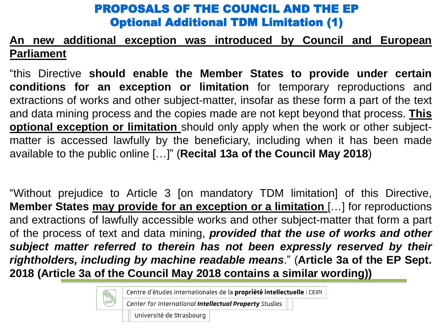### PROPOSALS OF THE COUNCIL AND THE EP Optional Additional TDM Limitation (1)

#### **An new additional exception was introduced by Council and European Parliament**

"this Directive **should enable the Member States to provide under certain conditions for an exception or limitation** for temporary reproductions and extractions of works and other subject-matter, insofar as these form a part of the text and data mining process and the copies made are not kept beyond that process. **This optional exception or limitation** should only apply when the work or other subjectmatter is accessed lawfully by the beneficiary, including when it has been made available to the public online […]" (**Recital 13a of the Council May 2018**)

"Without prejudice to Article 3 [on mandatory TDM limitation] of this Directive, **Member States may provide for an exception or a limitation** […] for reproductions and extractions of lawfully accessible works and other subject-matter that form a part of the process of text and data mining, *provided that the use of works and other subject matter referred to therein has not been expressly reserved by their rightholders, including by machine readable means*." (**Article 3a of the EP Sept. 2018 (Article 3a of the Council May 2018 contains a similar wording))**

Centre d'études internationales de la propriété intellectuelle | CEIPI

Center for International Intellectual Property Studies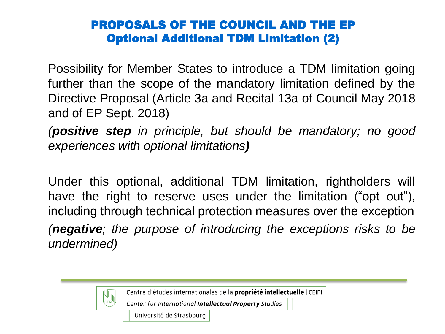#### PROPOSALS OF THE COUNCIL AND THE EP Optional Additional TDM Limitation (2)

Possibility for Member States to introduce a TDM limitation going further than the scope of the mandatory limitation defined by the Directive Proposal (Article 3a and Recital 13a of Council May 2018 and of EP Sept. 2018)

*(positive step in principle, but should be mandatory; no good experiences with optional limitations)*

Under this optional, additional TDM limitation, rightholders will have the right to reserve uses under the limitation ("opt out"), including through technical protection measures over the exception *(negative; the purpose of introducing the exceptions risks to be undermined)*

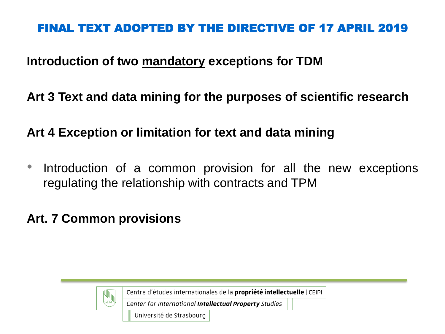#### **Introduction of two mandatory exceptions for TDM**

### **Art 3 Text and data mining for the purposes of scientific research**

# **Art 4 Exception or limitation for text and data mining**

Introduction of a common provision for all the new exceptions regulating the relationship with contracts and TPM

# **Art. 7 Common provisions**



Centre d'études internationales de la propriété intellectuelle | CEIPI

Center for International Intellectual Property Studies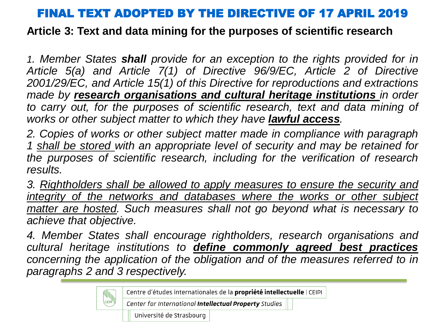**Article 3: Text and data mining for the purposes of scientific research**

*1. Member States shall provide for an exception to the rights provided for in Article 5(a) and Article 7(1) of Directive 96/9/EC, Article 2 of Directive 2001/29/EC, and Article 15(1) of this Directive for reproductions and extractions made by research organisations and cultural heritage institutions in order to carry out, for the purposes of scientific research, text and data mining of works or other subject matter to which they have lawful access.*

*2. Copies of works or other subject matter made in compliance with paragraph 1 shall be stored with an appropriate level of security and may be retained for the purposes of scientific research, including for the verification of research results.*

*3. Rightholders shall be allowed to apply measures to ensure the security and integrity of the networks and databases where the works or other subject matter are hosted. Such measures shall not go beyond what is necessary to achieve that objective.*

*4. Member States shall encourage rightholders, research organisations and cultural heritage institutions to define commonly agreed best practices concerning the application of the obligation and of the measures referred to in paragraphs 2 and 3 respectively.*

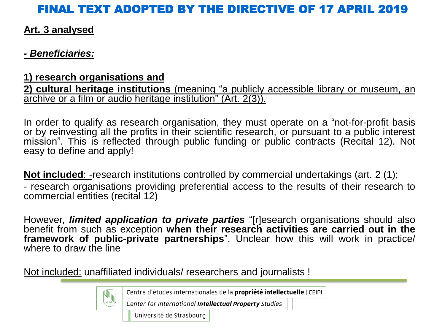#### **Art. 3 analysed**

#### *- Beneficiaries:*

#### **1) research organisations and**

**2) cultural heritage institutions** (meaning "a publicly accessible library or museum, an archive or a film or audio heritage institution" (Art. 2(3)).

In order to qualify as research organisation, they must operate on a "not-for-profit basis or by reinvesting all the profits in their scientific research, or pursuant to a public interest mission". This is reflected through public funding or public contracts (Recital 12). Not easy to define and apply!

**Not included:** -research institutions controlled by commercial undertakings (art. 2 (1); - research organisations providing preferential access to the results of their research to commercial entities (recital 12)

However, *limited application to private parties* "[r]esearch organisations should also benefit from such as exception **when their research activities are carried out in the framework of public-private partnerships**". Unclear how this will work in practice/ where to draw the line

Not included: unaffiliated individuals/ researchers and journalists !

Centre d'études internationales de la propriété intellectuelle | CEIPI

Center for International Intellectual Property Studies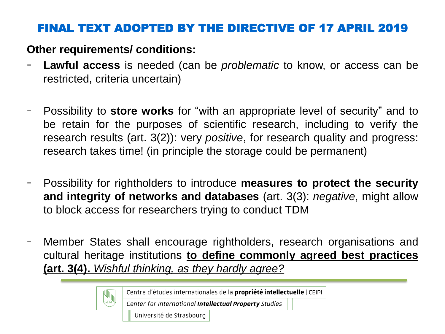#### **Other requirements/ conditions:**

- **Lawful access** is needed (can be *problematic* to know, or access can be restricted, criteria uncertain)
- Possibility to **store works** for "with an appropriate level of security" and to be retain for the purposes of scientific research, including to verify the research results (art. 3(2)): very *positive*, for research quality and progress: research takes time! (in principle the storage could be permanent)
- Possibility for rightholders to introduce **measures to protect the security and integrity of networks and databases** (art. 3(3): *negative*, might allow to block access for researchers trying to conduct TDM
- Member States shall encourage rightholders, research organisations and cultural heritage institutions **to define commonly agreed best practices (art. 3(4).** *Wishful thinking, as they hardly agree?*

Centre d'études internationales de la propriété intellectuelle | CEIPI

Center for International Intellectual Property Studies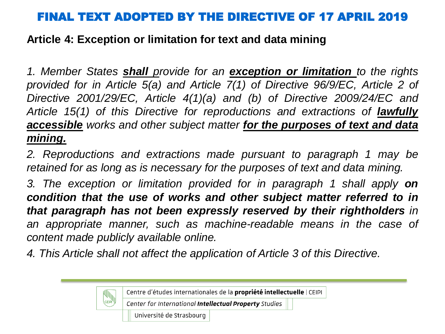#### **Article 4: Exception or limitation for text and data mining**

*1. Member States shall provide for an exception or limitation to the rights provided for in Article 5(a) and Article 7(1) of Directive 96/9/EC, Article 2 of Directive 2001/29/EC, Article 4(1)(a) and (b) of Directive 2009/24/EC and Article 15(1) of this Directive for reproductions and extractions of lawfully accessible works and other subject matter for the purposes of text and data mining.*

*2. Reproductions and extractions made pursuant to paragraph 1 may be retained for as long as is necessary for the purposes of text and data mining.*

*3. The exception or limitation provided for in paragraph 1 shall apply on condition that the use of works and other subject matter referred to in that paragraph has not been expressly reserved by their rightholders in an appropriate manner, such as machine-readable means in the case of content made publicly available online.*

*4. This Article shall not affect the application of Article 3 of this Directive.*

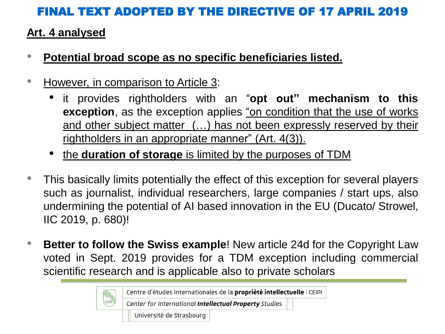#### **Art. 4 analysed**

- **Potential broad scope as no specific beneficiaries listed.**
- However, in comparison to Article 3:
	- it provides rightholders with an "**opt out" mechanism to this exception**, as the exception applies "on condition that the use of works and other subject matter (…) has not been expressly reserved by their rightholders in an appropriate manner" (Art. 4(3)).
	- the **duration of storage** is limited by the purposes of TDM
- This basically limits potentially the effect of this exception for several players such as journalist, individual researchers, large companies / start ups, also undermining the potential of AI based innovation in the EU (Ducato/ Strowel, IIC 2019, p. 680)!
- **Better to follow the Swiss example**! New article 24d for the Copyright Law voted in Sept. 2019 provides for a TDM exception including commercial scientific research and is applicable also to private scholars

Centre d'études internationales de la propriété intellectuelle | CEIPI

Center for International Intellectual Property Studies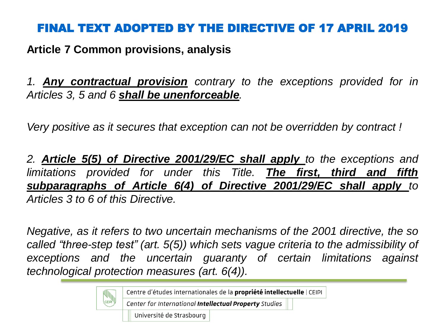**Article 7 Common provisions, analysis**

*1. Any contractual provision contrary to the exceptions provided for in Articles 3, 5 and 6 shall be unenforceable.*

*Very positive as it secures that exception can not be overridden by contract !*

*2. Article 5(5) of Directive 2001/29/EC shall apply to the exceptions and limitations provided for under this Title. The first, third and fifth subparagraphs of Article 6(4) of Directive 2001/29/EC shall apply to Articles 3 to 6 of this Directive.*

*Negative, as it refers to two uncertain mechanisms of the 2001 directive, the so called "three-step test" (art. 5(5)) which sets vague criteria to the admissibility of exceptions and the uncertain guaranty of certain limitations against technological protection measures (art. 6(4)).*

Centre d'études internationales de la propriété intellectuelle | CEIPI

Center for International Intellectual Property Studies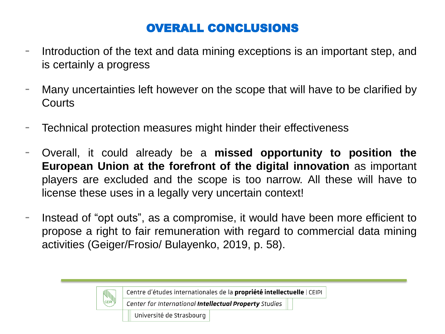# OVERALL CONCLUSIONS

- Introduction of the text and data mining exceptions is an important step, and is certainly a progress
- Many uncertainties left however on the scope that will have to be clarified by **Courts**
- Technical protection measures might hinder their effectiveness
- Overall, it could already be a **missed opportunity to position the European Union at the forefront of the digital innovation** as important players are excluded and the scope is too narrow. All these will have to license these uses in a legally very uncertain context!
- Instead of "opt outs", as a compromise, it would have been more efficient to propose a right to fair remuneration with regard to commercial data mining activities (Geiger/Frosio/ Bulayenko, 2019, p. 58).



Centre d'études internationales de la propriété intellectuelle | CEIPI

Center for International Intellectual Property Studies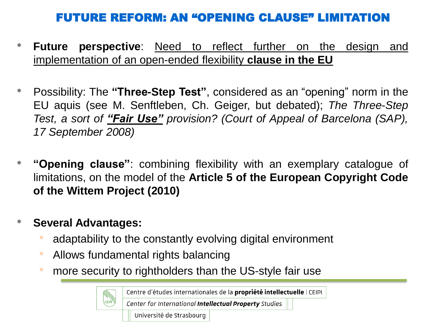# FUTURE REFORM: AN "OPENING CLAUSE" LIMITATION

- **Future perspective**: Need to reflect further on the design and implementation of an open-ended flexibility **clause in the EU**
- Possibility: The **"Three-Step Test"**, considered as an "opening" norm in the EU aquis (see M. Senftleben, Ch. Geiger, but debated); *The Three-Step Test, a sort of "Fair Use" provision? (Court of Appeal of Barcelona (SAP), 17 September 2008)*
- **"Opening clause"**: combining flexibility with an exemplary catalogue of limitations, on the model of the **Article 5 of the European Copyright Code of the Wittem Project (2010)**

#### • **Several Advantages:**

- adaptability to the constantly evolving digital environment
- Allows fundamental rights balancing
- more security to rightholders than the US-style fair use

Centre d'études internationales de la propriété intellectuelle | CEIPI

Center for International Intellectual Property Studies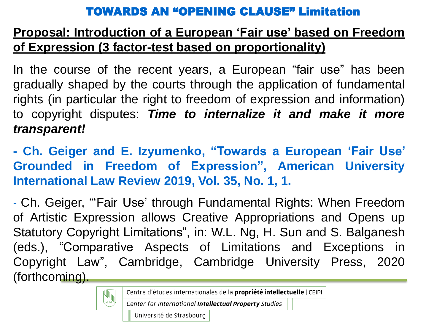#### TOWARDS AN "OPENING CLAUSE" Limitation

# **Proposal: Introduction of a European 'Fair use' based on Freedom of Expression (3 factor-test based on proportionality)**

In the course of the recent years, a European "fair use" has been gradually shaped by the courts through the application of fundamental rights (in particular the right to freedom of expression and information) to copyright disputes: *Time to internalize it and make it more transparent!*

**- Ch. Geiger and E. Izyumenko, "Towards a European 'Fair Use' Grounded in Freedom of Expression", American University International Law Review 2019, Vol. 35, No. 1, 1.**

- Ch. Geiger, "'Fair Use' through Fundamental Rights: When Freedom of Artistic Expression allows Creative Appropriations and Opens up Statutory Copyright Limitations", in: W.L. Ng, H. Sun and S. Balganesh (eds.), "Comparative Aspects of Limitations and Exceptions in Copyright Law", Cambridge, Cambridge University Press, 2020 (forthcoming).

Centre d'études internationales de la propriété intellectuelle | CEIPI

Center for International Intellectual Property Studies

Université de Strasbourg

CEIPI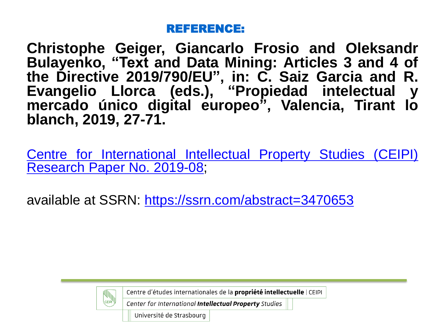#### REFERENCE:

**Christophe Geiger, Giancarlo Frosio and Oleksandr Bulayenko, "Text and Data Mining: Articles 3 and 4 of the Directive 2019/790/EU", in: C. Saiz Garcia and R. Evangelio Llorca (eds.), "Propiedad intelectual y mercado único digital europeo", Valencia, Tirant lo blanch, 2019, 27-71.**

Centre for [International](https://papers.ssrn.com/sol3/papers.cfm?abstract_id=3470653##) Intellectual Property Studies (CEIPI) Research Paper No. 2019-08;

available at SSRN: <https://ssrn.com/abstract=3470653>



Centre d'études internationales de la propriété intellectuelle | CEIPI

Center for International Intellectual Property Studies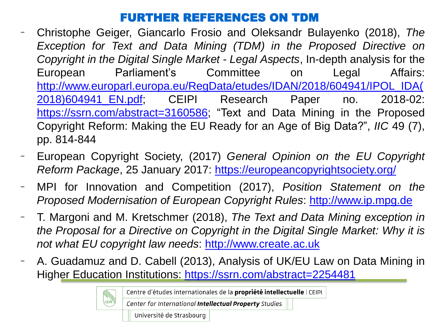#### FURTHER REFERENCES ON TDM

- Christophe Geiger, Giancarlo Frosio and Oleksandr Bulayenko (2018), *The Exception for Text and Data Mining (TDM) in the Proposed Directive on Copyright in the Digital Single Market - Legal Aspects*, In-depth analysis for the European Parliament's Committee on Legal Affairs: [http://www.europarl.europa.eu/RegData/etudes/IDAN/2018/604941/IPOL\\_IDA\(](http://www.europarl.europa.eu/RegData/etudes/IDAN/2018/604941/IPOL_IDA(2018)604941_EN.pdf) 2018)604941\_EN.pdf; CEIPI Research Paper no. 2018-02: <https://ssrn.com/abstract=3160586>; "Text and Data Mining in the Proposed Copyright Reform: Making the EU Ready for an Age of Big Data?", *IIC* 49 (7), pp. 814-844
- European Copyright Society, (2017) *General Opinion on the EU Copyright Reform Package*, 25 January 2017: <https://europeancopyrightsociety.org/>
- MPI for Innovation and Competition (2017), *Position Statement on the Proposed Modernisation of European Copyright Rules*: [http://www.ip.mpg.de](http://www.ip.mpg.de/)
- T. Margoni and M. Kretschmer (2018), *The Text and Data Mining exception in the Proposal for a Directive on Copyright in the Digital Single Market: Why it is not what EU copyright law needs*: [http://www.create.ac.uk](http://www.create.ac.uk/)
- A. Guadamuz and D. Cabell (2013), Analysis of UK/EU Law on Data Mining in Higher Education Institutions: <https://ssrn.com/abstract=2254481>

Centre d'études internationales de la propriété intellectuelle | CEIPI

Center for International Intellectual Property Studies